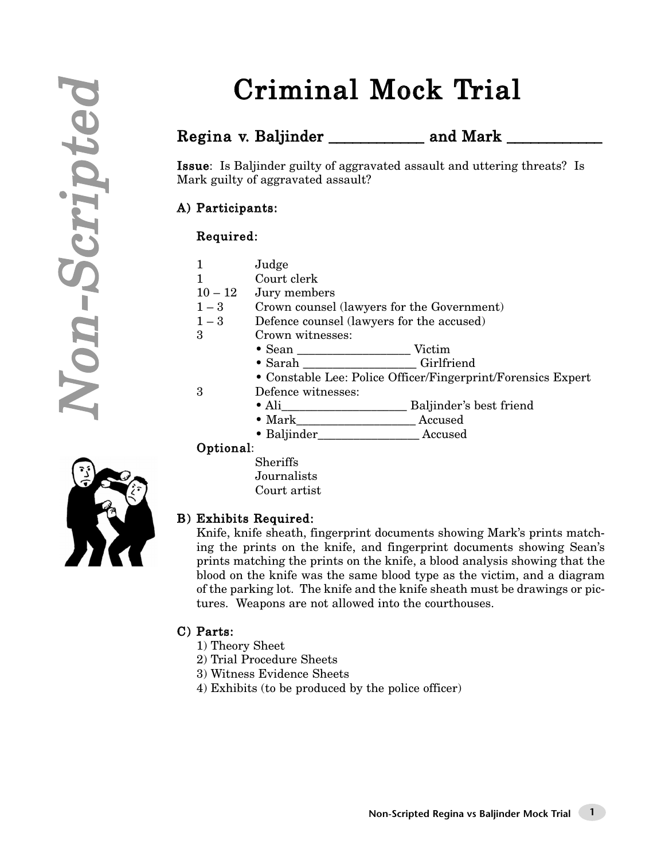# Criminal Mock Trial

### Regina v. Baljinder \_\_\_\_\_\_\_\_\_\_\_\_\_\_ and Mark \_\_\_\_\_\_\_\_\_

Issue: Is Baljinder guilty of aggravated assault and uttering threats? Is Mark guilty of aggravated assault?

#### A) Participants:

#### Required:

- 1 Judge
- 1 Court clerk
- $10 12$  Jury members
- 1 3 Crown counsel (lawyers for the Government)
- 1 3 Defence counsel (lawyers for the accused)
- 3 Crown witnesses:
	- Sean \_\_\_\_\_\_\_\_\_\_\_\_\_\_\_\_\_\_\_ Victim
	- Sarah Girlfriend
- Constable Lee: Police Officer/Fingerprint/Forensics Expert 3 Defence witnesses:
	-
- Ali\_\_\_\_\_\_\_\_\_\_\_\_\_\_\_\_\_\_\_\_\_ Baljinder's best friend
- Mark\_\_\_\_\_\_\_\_\_\_\_\_\_\_\_\_\_\_\_\_ Accused
- Baljinder Accused

#### Optional:

Sheriffs Journalists Court artist



#### B) Exhibits Required:

Knife, knife sheath, fingerprint documents showing Mark's prints matching the prints on the knife, and fingerprint documents showing Sean's prints matching the prints on the knife, a blood analysis showing that the blood on the knife was the same blood type as the victim, and a diagram of the parking lot. The knife and the knife sheath must be drawings or pictures. Weapons are not allowed into the courthouses.

#### C) Parts:

- 1) Theory Sheet
- 2) Trial Procedure Sheets
- 3) Witness Evidence Sheets
- 4) Exhibits (to be produced by the police officer)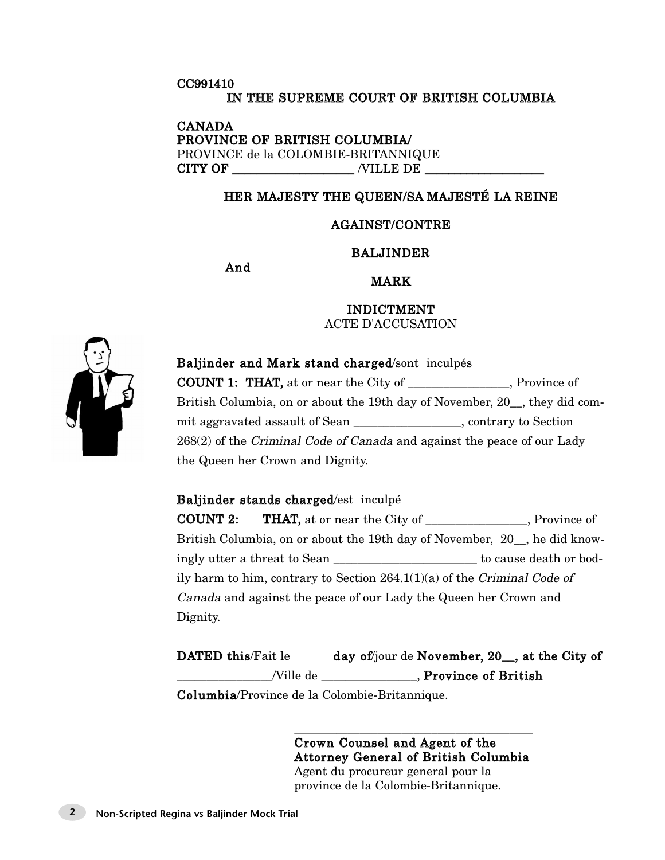#### CC991410 IN THE SUPREME COURT OF BRITISH COLUMBIA

CANADA PROVINCE OF BRITISH COLUMBIA/ PROVINCE de la COLOMBIE-BRITANNIQUE CITY OF \_\_\_\_\_\_\_\_\_\_\_\_\_\_\_\_\_\_\_\_ /VILLE DE \_\_\_\_\_\_\_\_\_\_\_\_\_\_\_\_\_\_\_\_

#### HER MAJESTY THE QUEEN/SA MAJESTÉ LA REINE

#### AGAINST/CONTRE

#### BALJINDER

And

#### MARK

INDICTMENT ACTE D'ACCUSATION



### Baljinder and Mark stand charged/sont inculpés

COUNT 1: THAT, at or near the City of Frovince of British Columbia, on or about the 19th day of November, 20 , they did commit aggravated assault of Sean \_\_\_\_\_\_\_\_\_\_\_\_\_\_\_\_\_\_, contrary to Section 268(2) of the Criminal Code of Canada and against the peace of our Lady the Queen her Crown and Dignity.

#### Baljinder stands charged/est inculpé

COUNT 2: THAT, at or near the City of \_\_\_\_\_\_\_\_\_\_\_\_\_\_\_\_\_, Province of British Columbia, on or about the 19th day of November, 20\_\_, he did knowingly utter a threat to Sean \_\_\_\_\_\_\_\_\_\_\_\_\_\_\_\_\_\_\_\_\_\_\_\_ to cause death or bodily harm to him, contrary to Section  $264.1(1)(a)$  of the Criminal Code of Canada and against the peace of our Lady the Queen her Crown and Dignity.

DATED this/Fait le day of/jour de November, 20<sub>, at the City of</sub> \_\_\_\_\_\_\_\_\_\_\_\_\_\_\_\_/Ville de \_\_\_\_\_\_\_\_\_\_\_\_\_\_\_\_, Province of British

Columbia/Province de la Colombie-Britannique.

\_\_\_\_\_\_\_\_\_\_\_\_\_\_\_\_\_\_\_\_\_\_\_\_\_\_\_\_\_\_\_\_\_\_\_\_\_\_\_\_ Crown Counsel and Agent of the Attorney General of British Columbia Agent du procureur general pour la province de la Colombie-Britannique.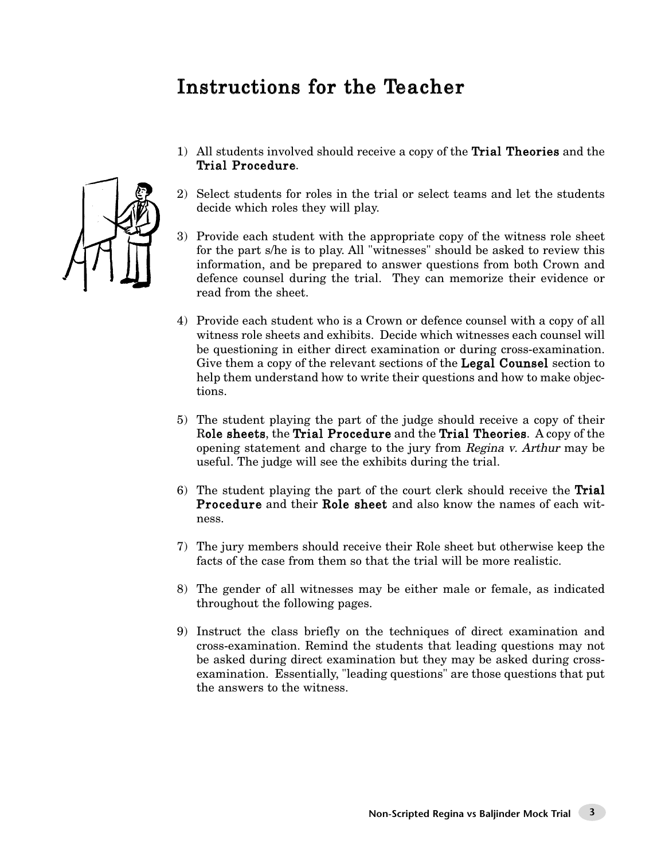### Instructions for the Teacher

- 1) All students involved should receive a copy of the Trial Theories and the Trial Procedure.
	- 2) Select students for roles in the trial or select teams and let the students decide which roles they will play.
	- 3) Provide each student with the appropriate copy of the witness role sheet for the part s/he is to play. All "witnesses" should be asked to review this information, and be prepared to answer questions from both Crown and defence counsel during the trial. They can memorize their evidence or read from the sheet.
	- 4) Provide each student who is a Crown or defence counsel with a copy of all witness role sheets and exhibits. Decide which witnesses each counsel will be questioning in either direct examination or during cross-examination. Give them a copy of the relevant sections of the **Legal Counsel** section to help them understand how to write their questions and how to make objections.
	- 5) The student playing the part of the judge should receive a copy of their Role sheets, the Trial Procedure and the Trial Theories. A copy of the opening statement and charge to the jury from Regina v. Arthur may be useful. The judge will see the exhibits during the trial.
	- 6) The student playing the part of the court clerk should receive the Trial Procedure and their Role sheet and also know the names of each witness.
	- 7) The jury members should receive their Role sheet but otherwise keep the facts of the case from them so that the trial will be more realistic.
	- 8) The gender of all witnesses may be either male or female, as indicated throughout the following pages.
	- 9) Instruct the class briefly on the techniques of direct examination and cross-examination. Remind the students that leading questions may not be asked during direct examination but they may be asked during crossexamination. Essentially, "leading questions" are those questions that put the answers to the witness.

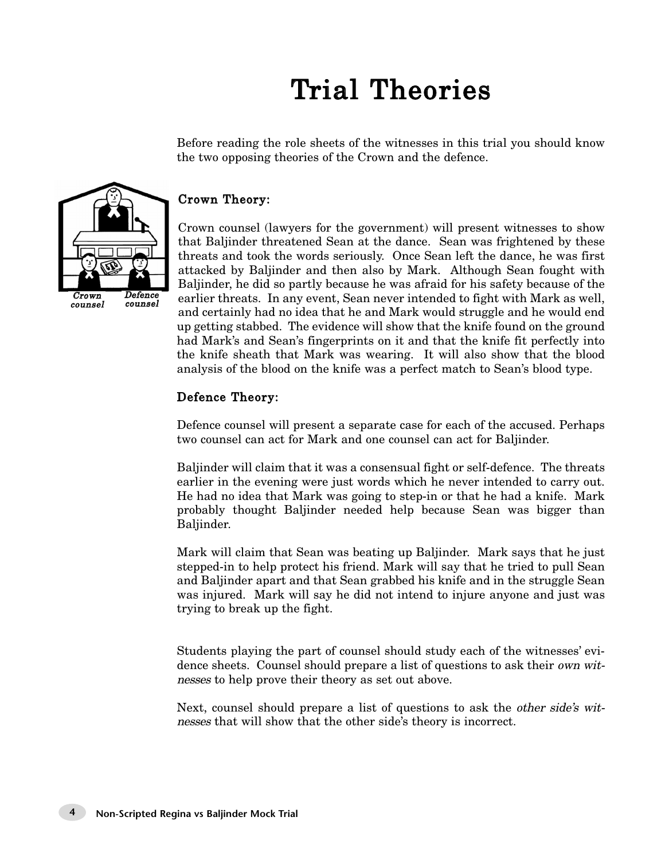# Trial Theories

Before reading the role sheets of the witnesses in this trial you should know the two opposing theories of the Crown and the defence.

# $\overline{C}$ rown counsel Defence counsel

#### Crown Theory:

Crown counsel (lawyers for the government) will present witnesses to show that Baljinder threatened Sean at the dance. Sean was frightened by these threats and took the words seriously. Once Sean left the dance, he was first attacked by Baljinder and then also by Mark. Although Sean fought with Baljinder, he did so partly because he was afraid for his safety because of the earlier threats. In any event, Sean never intended to fight with Mark as well, and certainly had no idea that he and Mark would struggle and he would end up getting stabbed. The evidence will show that the knife found on the ground had Mark's and Sean's fingerprints on it and that the knife fit perfectly into the knife sheath that Mark was wearing. It will also show that the blood analysis of the blood on the knife was a perfect match to Sean's blood type.

#### Defence Theory:

Defence counsel will present a separate case for each of the accused. Perhaps two counsel can act for Mark and one counsel can act for Baljinder.

Baljinder will claim that it was a consensual fight or self-defence. The threats earlier in the evening were just words which he never intended to carry out. He had no idea that Mark was going to step-in or that he had a knife. Mark probably thought Baljinder needed help because Sean was bigger than Baljinder.

Mark will claim that Sean was beating up Baljinder. Mark says that he just stepped-in to help protect his friend. Mark will say that he tried to pull Sean and Baljinder apart and that Sean grabbed his knife and in the struggle Sean was injured. Mark will say he did not intend to injure anyone and just was trying to break up the fight.

Students playing the part of counsel should study each of the witnesses' evidence sheets. Counsel should prepare a list of questions to ask their own witnesses to help prove their theory as set out above.

Next, counsel should prepare a list of questions to ask the *other side's wit*nesses that will show that the other side's theory is incorrect.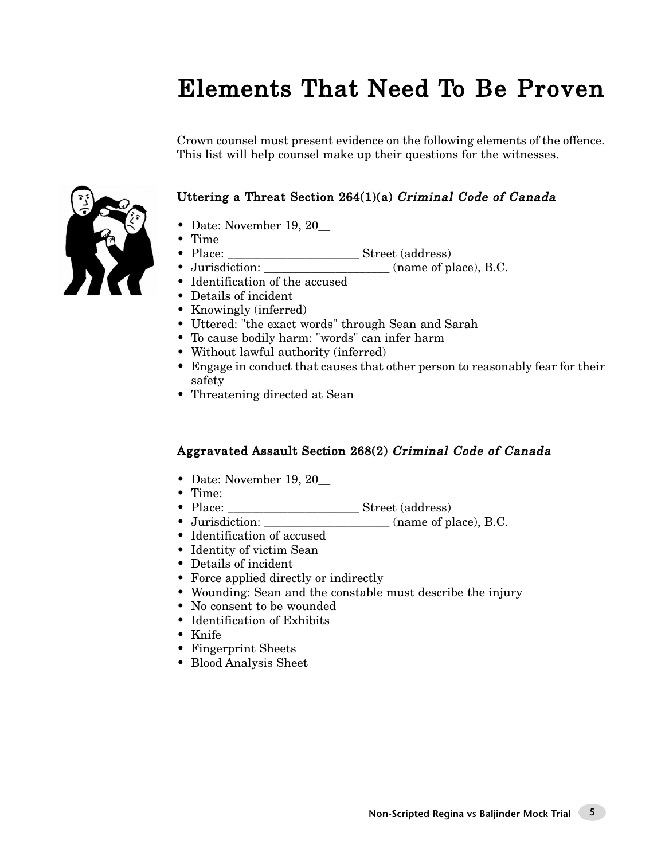### Elements That Need To Be Proven

Crown counsel must present evidence on the following elements of the offence. This list will help counsel make up their questions for the witnesses.

#### Uttering a Threat Section 264(1)(a) Criminal Code of Canada

- Date: November 19, 20
- Time
- Filme<br>• Place: \_\_\_\_\_\_\_\_\_\_\_\_\_\_\_\_\_\_\_\_\_\_\_\_\_\_\_\_\_\_\_\_\_ Street (address)
- Jurisdiction: \_\_\_\_\_\_\_\_\_\_\_\_\_\_\_\_\_\_\_\_\_ (name of place), B.C.
- Identification of the accused
- Details of incident
- Knowingly (inferred)
- Uttered: "the exact words" through Sean and Sarah
- To cause bodily harm: "words" can infer harm
- Without lawful authority (inferred)
- Engage in conduct that causes that other person to reasonably fear for their safety
- Threatening directed at Sean

#### Aggravated Assault Section 268(2) Criminal Code of Canada

- Date: November 19, 20\_
- Time:
- Place: \_\_\_\_\_\_\_\_\_\_\_\_\_\_\_\_\_\_\_\_\_\_ Street (address)
- Jurisdiction: \_\_\_\_\_\_\_\_\_\_\_\_\_\_\_\_\_\_\_\_\_ (name of place), B.C.
- Identification of accused
- Identity of victim Sean
- Details of incident
- Force applied directly or indirectly
- Wounding: Sean and the constable must describe the injury
- No consent to be wounded
- Identification of Exhibits
- Knife
- Fingerprint Sheets
- Blood Analysis Sheet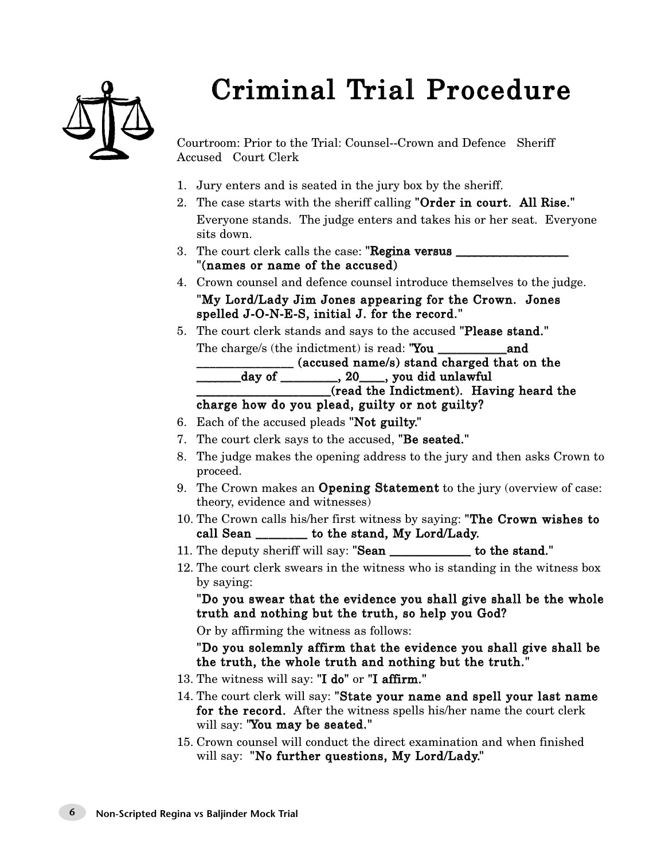# Criminal Trial Procedure



Courtroom: Prior to the Trial: Counsel--Crown and Defence Sheriff Accused Court Clerk

- 1. Jury enters and is seated in the jury box by the sheriff.
- 2. The case starts with the sheriff calling "Order in court. All Rise." Everyone stands. The judge enters and takes his or her seat. Everyone sits down.
- 3. The court clerk calls the case: "Regina versus \_ "(names or name of the accused)
- 4. Crown counsel and defence counsel introduce themselves to the judge. "My Lord/Lady Jim Jones appearing for the Crown. Jones spelled J-O-N-E-S, initial J. for the record."
- 5. The court clerk stands and says to the accused "Please stand."

The charge/s (the indictment) is read: "You \_\_\_\_\_\_\_\_\_\_\_and \_\_\_\_\_\_\_\_\_\_\_\_\_\_\_ (accused name/s) stand charged that on the \_\_\_\_\_\_\_day of \_\_\_\_\_\_\_\_\_, 20\_\_\_\_, you did unlawful

\_\_\_\_\_\_\_\_\_\_\_\_\_\_\_\_\_\_\_\_\_(read the Indictment). Having heard the

#### charge how do you plead, guilty or not guilty?

- 6. Each of the accused pleads "Not guilty."
- 7. The court clerk says to the accused, "Be seated."
- 8. The judge makes the opening address to the jury and then asks Crown to proceed.
- 9. The Crown makes an Opening Statement to the jury (overview of case: theory, evidence and witnesses)
- 10. The Crown calls his/her first witness by saying: "The Crown wishes to call Sean \_\_\_\_\_\_\_\_ to the stand, My Lord/Lady.
- 11. The deputy sheriff will say: "Sean \_\_\_\_\_\_\_\_\_\_\_\_\_ to the stand."
- 12. The court clerk swears in the witness who is standing in the witness box by saying:

"Do you swear that the evidence you shall give shall be the whole truth and nothing but the truth, so help you God?

Or by affirming the witness as follows:

"Do you solemnly affirm that the evidence you shall give shall be the truth, the whole truth and nothing but the truth."

- 13. The witness will say: "I do" or "I affirm."
- 14. The court clerk will say: "State your name and spell your last name for the record. After the witness spells his/her name the court clerk will say: "You may be seated."
- 15. Crown counsel will conduct the direct examination and when finished will say: "No further questions, My Lord/Lady."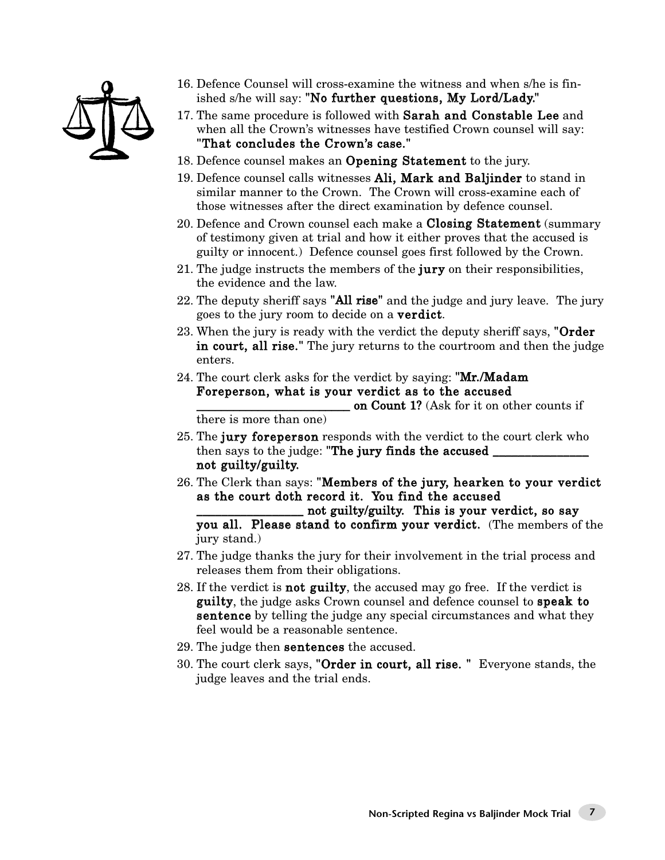

- 16. Defence Counsel will cross-examine the witness and when s/he is finished s/he will say: "No further questions, My Lord/Lady."
- 17. The same procedure is followed with Sarah and Constable Lee and when all the Crown's witnesses have testified Crown counsel will say: "That concludes the Crown's case."
- 18. Defence counsel makes an Opening Statement to the jury.
- 19. Defence counsel calls witnesses Ali, Mark and Baljinder to stand in similar manner to the Crown. The Crown will cross-examine each of those witnesses after the direct examination by defence counsel.
- 20. Defence and Crown counsel each make a Closing Statement (summary of testimony given at trial and how it either proves that the accused is guilty or innocent.) Defence counsel goes first followed by the Crown.
- 21. The judge instructs the members of the jury on their responsibilities, the evidence and the law.
- 22. The deputy sheriff says "All rise" and the judge and jury leave. The jury goes to the jury room to decide on a verdict.
- 23. When the jury is ready with the verdict the deputy sheriff says, "Order" in court, all rise." The jury returns to the courtroom and then the judge enters.
- 24. The court clerk asks for the verdict by saying: "**Mr./Madam** Foreperson, what is your verdict as to the accused

on Count 1? (Ask for it on other counts if there is more than one)

- 25. The jury foreperson responds with the verdict to the court clerk who then says to the judge: "The jury finds the accused not guilty/guilty.
- 26. The Clerk than says: "Members of the jury, hearken to your verdict as the court doth record it. You find the accused

not guilty/guilty. This is your verdict, so say you all. Please stand to confirm your verdict. (The members of the jury stand.)

- 27. The judge thanks the jury for their involvement in the trial process and releases them from their obligations.
- 28. If the verdict is **not guilty**, the accused may go free. If the verdict is guilty, the judge asks Crown counsel and defence counsel to speak to sentence by telling the judge any special circumstances and what they feel would be a reasonable sentence.
- 29. The judge then sentences the accused.
- 30. The court clerk says, "Order in court, all rise. " Everyone stands, the judge leaves and the trial ends.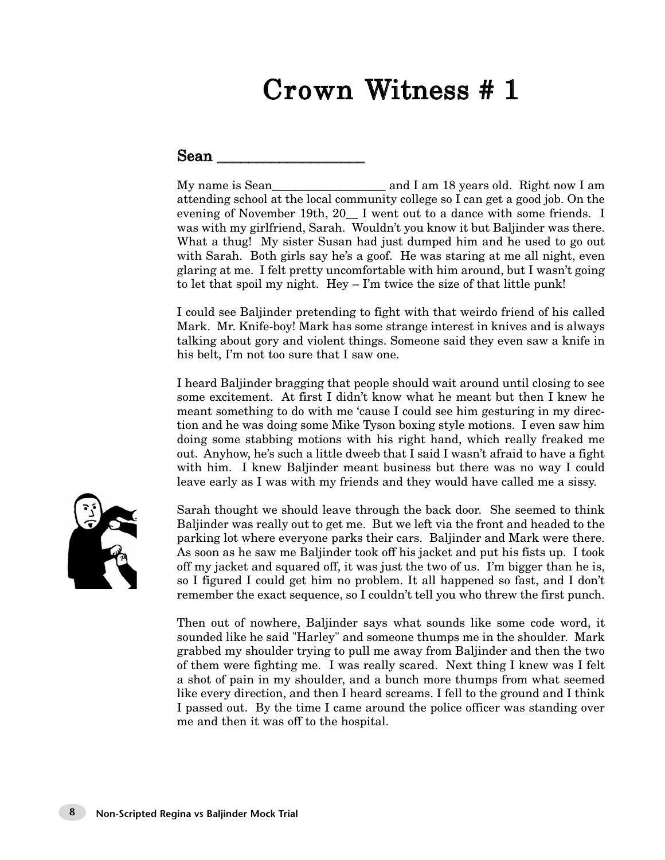#### $Sean$

My name is Sean\_\_\_\_\_\_\_\_\_\_\_\_\_\_\_\_\_\_\_ and I am 18 years old. Right now I am attending school at the local community college so I can get a good job. On the evening of November 19th, 20\_\_ I went out to a dance with some friends. I was with my girlfriend, Sarah. Wouldn't you know it but Baljinder was there. What a thug! My sister Susan had just dumped him and he used to go out with Sarah. Both girls say he's a goof. He was staring at me all night, even glaring at me. I felt pretty uncomfortable with him around, but I wasn't going to let that spoil my night. Hey – I'm twice the size of that little punk!

I could see Baljinder pretending to fight with that weirdo friend of his called Mark. Mr. Knife-boy! Mark has some strange interest in knives and is always talking about gory and violent things. Someone said they even saw a knife in his belt, I'm not too sure that I saw one.

I heard Baljinder bragging that people should wait around until closing to see some excitement. At first I didn't know what he meant but then I knew he meant something to do with me 'cause I could see him gesturing in my direction and he was doing some Mike Tyson boxing style motions. I even saw him doing some stabbing motions with his right hand, which really freaked me out. Anyhow, he's such a little dweeb that I said I wasn't afraid to have a fight with him. I knew Baljinder meant business but there was no way I could leave early as I was with my friends and they would have called me a sissy.



Sarah thought we should leave through the back door. She seemed to think Baljinder was really out to get me. But we left via the front and headed to the parking lot where everyone parks their cars. Baljinder and Mark were there. As soon as he saw me Baljinder took off his jacket and put his fists up. I took off my jacket and squared off, it was just the two of us. I'm bigger than he is, so I figured I could get him no problem. It all happened so fast, and I don't remember the exact sequence, so I couldn't tell you who threw the first punch.

Then out of nowhere, Baljinder says what sounds like some code word, it sounded like he said "Harley" and someone thumps me in the shoulder. Mark grabbed my shoulder trying to pull me away from Baljinder and then the two of them were fighting me. I was really scared. Next thing I knew was I felt a shot of pain in my shoulder, and a bunch more thumps from what seemed like every direction, and then I heard screams. I fell to the ground and I think I passed out. By the time I came around the police officer was standing over me and then it was off to the hospital.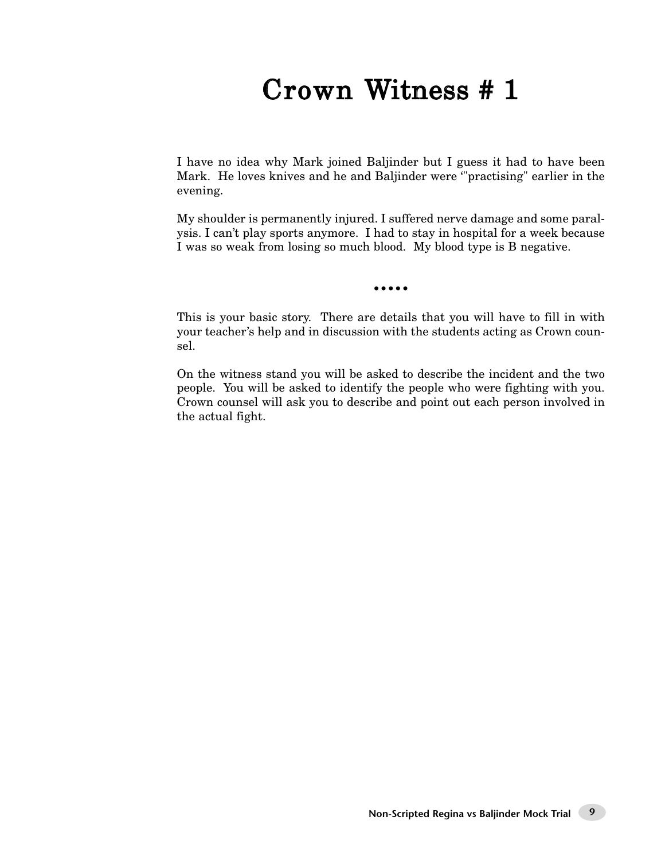I have no idea why Mark joined Baljinder but I guess it had to have been Mark. He loves knives and he and Baljinder were '"practising" earlier in the evening.

My shoulder is permanently injured. I suffered nerve damage and some paralysis. I can't play sports anymore. I had to stay in hospital for a week because I was so weak from losing so much blood. My blood type is B negative.

•••••

This is your basic story. There are details that you will have to fill in with your teacher's help and in discussion with the students acting as Crown counsel.

On the witness stand you will be asked to describe the incident and the two people. You will be asked to identify the people who were fighting with you. Crown counsel will ask you to describe and point out each person involved in the actual fight.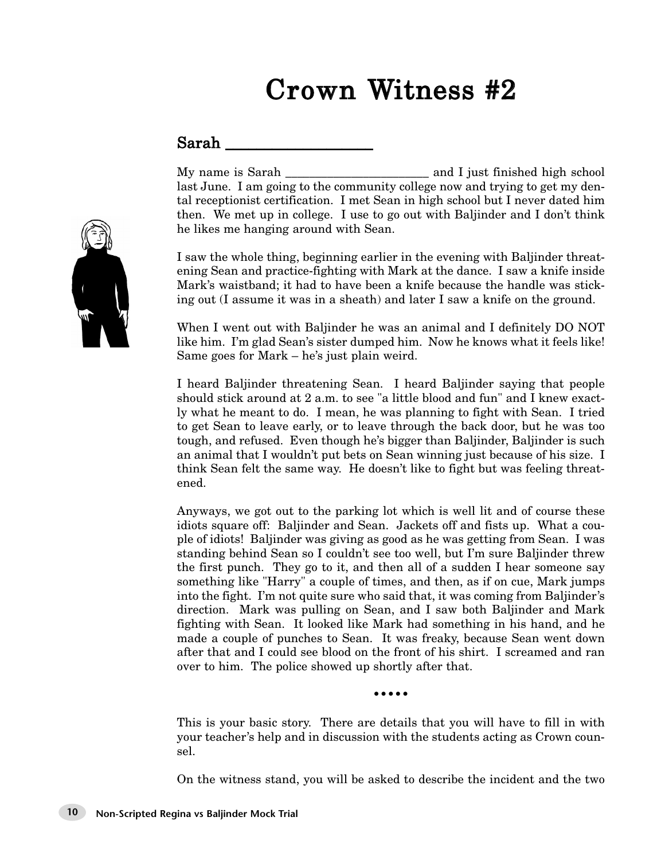#### $\operatorname{Sarah}$

My name is Sarah \_\_\_\_\_\_\_\_\_\_\_\_\_\_\_\_\_\_\_\_\_\_\_\_ and I just finished high school last June. I am going to the community college now and trying to get my dental receptionist certification. I met Sean in high school but I never dated him then. We met up in college. I use to go out with Baljinder and I don't think he likes me hanging around with Sean.

I saw the whole thing, beginning earlier in the evening with Baljinder threatening Sean and practice-fighting with Mark at the dance. I saw a knife inside Mark's waistband; it had to have been a knife because the handle was sticking out (I assume it was in a sheath) and later I saw a knife on the ground.

When I went out with Baljinder he was an animal and I definitely DO NOT like him. I'm glad Sean's sister dumped him. Now he knows what it feels like! Same goes for Mark – he's just plain weird.

I heard Baljinder threatening Sean. I heard Baljinder saying that people should stick around at 2 a.m. to see "a little blood and fun" and I knew exactly what he meant to do. I mean, he was planning to fight with Sean. I tried to get Sean to leave early, or to leave through the back door, but he was too tough, and refused. Even though he's bigger than Baljinder, Baljinder is such an animal that I wouldn't put bets on Sean winning just because of his size. I think Sean felt the same way. He doesn't like to fight but was feeling threatened.

Anyways, we got out to the parking lot which is well lit and of course these idiots square off: Baljinder and Sean. Jackets off and fists up. What a couple of idiots! Baljinder was giving as good as he was getting from Sean. I was standing behind Sean so I couldn't see too well, but I'm sure Baljinder threw the first punch. They go to it, and then all of a sudden I hear someone say something like "Harry" a couple of times, and then, as if on cue, Mark jumps into the fight. I'm not quite sure who said that, it was coming from Baljinder's direction. Mark was pulling on Sean, and I saw both Baljinder and Mark fighting with Sean. It looked like Mark had something in his hand, and he made a couple of punches to Sean. It was freaky, because Sean went down after that and I could see blood on the front of his shirt. I screamed and ran over to him. The police showed up shortly after that.

•••••

This is your basic story. There are details that you will have to fill in with your teacher's help and in discussion with the students acting as Crown counsel.

On the witness stand, you will be asked to describe the incident and the two

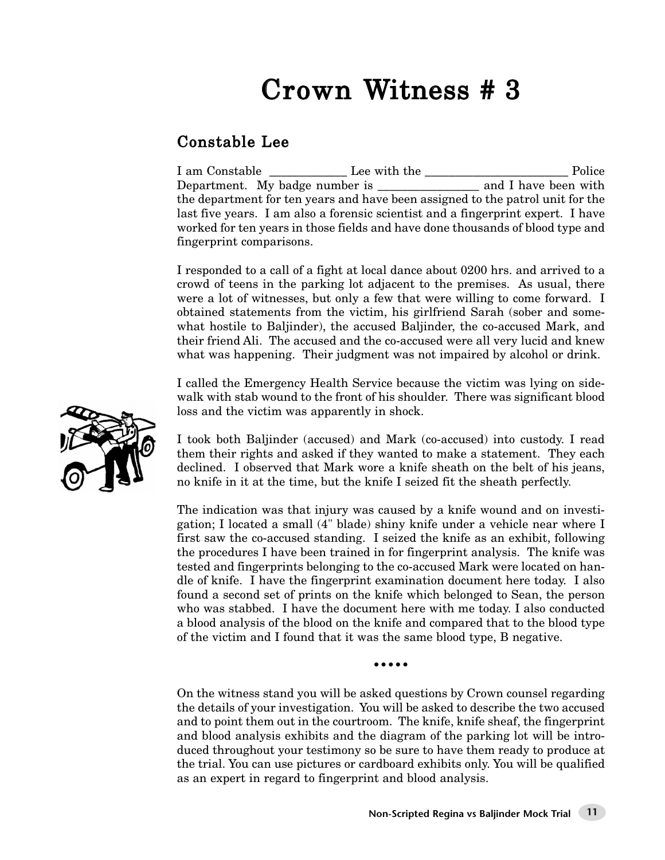### Constable Lee

I am Constable \_\_\_\_\_\_\_\_\_\_\_\_\_ Lee with the \_\_\_\_\_\_\_\_\_\_\_\_\_\_\_\_\_\_\_\_\_\_\_\_ Police Department. My badge number is \_\_\_\_\_\_\_\_\_\_\_\_\_\_\_\_\_ and I have been with the department for ten years and have been assigned to the patrol unit for the last five years. I am also a forensic scientist and a fingerprint expert. I have worked for ten years in those fields and have done thousands of blood type and fingerprint comparisons.

I responded to a call of a fight at local dance about 0200 hrs. and arrived to a crowd of teens in the parking lot adjacent to the premises. As usual, there were a lot of witnesses, but only a few that were willing to come forward. I obtained statements from the victim, his girlfriend Sarah (sober and somewhat hostile to Baljinder), the accused Baljinder, the co-accused Mark, and their friend Ali. The accused and the co-accused were all very lucid and knew what was happening. Their judgment was not impaired by alcohol or drink.

I called the Emergency Health Service because the victim was lying on sidewalk with stab wound to the front of his shoulder. There was significant blood loss and the victim was apparently in shock.

I took both Baljinder (accused) and Mark (co-accused) into custody. I read them their rights and asked if they wanted to make a statement. They each declined. I observed that Mark wore a knife sheath on the belt of his jeans, no knife in it at the time, but the knife I seized fit the sheath perfectly.

The indication was that injury was caused by a knife wound and on investigation; I located a small (4" blade) shiny knife under a vehicle near where I first saw the co-accused standing. I seized the knife as an exhibit, following the procedures I have been trained in for fingerprint analysis. The knife was tested and fingerprints belonging to the co-accused Mark were located on handle of knife. I have the fingerprint examination document here today. I also found a second set of prints on the knife which belonged to Sean, the person who was stabbed. I have the document here with me today. I also conducted a blood analysis of the blood on the knife and compared that to the blood type of the victim and I found that it was the same blood type, B negative.

•••••

On the witness stand you will be asked questions by Crown counsel regarding the details of your investigation. You will be asked to describe the two accused and to point them out in the courtroom. The knife, knife sheaf, the fingerprint and blood analysis exhibits and the diagram of the parking lot will be introduced throughout your testimony so be sure to have them ready to produce at the trial. You can use pictures or cardboard exhibits only. You will be qualified as an expert in regard to fingerprint and blood analysis.

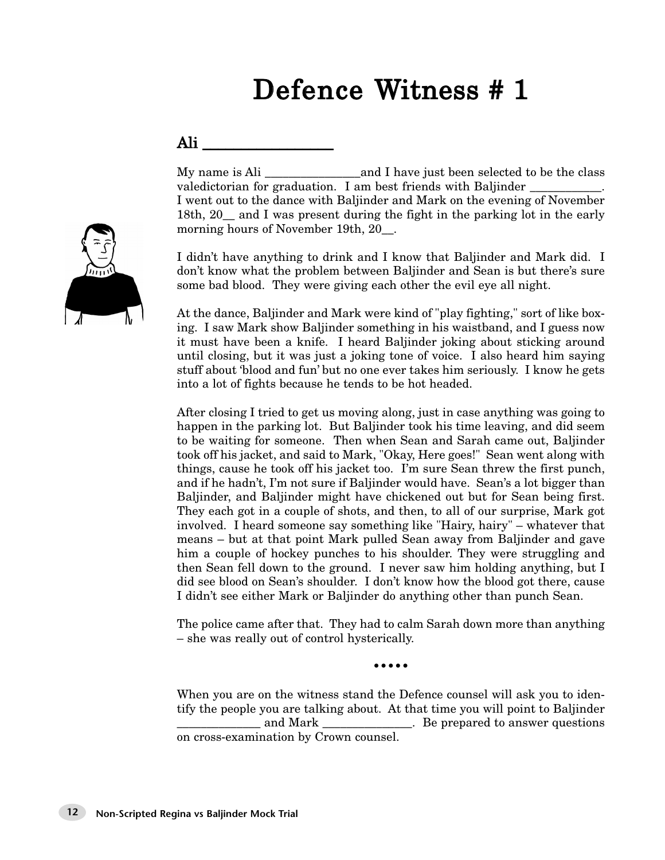### Defence Witness # 1

#### Ali \_\_\_\_\_\_\_\_\_\_\_\_\_\_\_\_\_

My name is Ali \_\_\_\_\_\_\_\_\_\_\_\_\_\_\_\_and I have just been selected to be the class valedictorian for graduation. I am best friends with Baljinder I went out to the dance with Baljinder and Mark on the evening of November 18th, 20\_\_ and I was present during the fight in the parking lot in the early morning hours of November 19th, 20.

I didn't have anything to drink and I know that Baljinder and Mark did. I don't know what the problem between Baljinder and Sean is but there's sure some bad blood. They were giving each other the evil eye all night.

At the dance, Baljinder and Mark were kind of "play fighting," sort of like boxing. I saw Mark show Baljinder something in his waistband, and I guess now it must have been a knife. I heard Baljinder joking about sticking around until closing, but it was just a joking tone of voice. I also heard him saying stuff about 'blood and fun' but no one ever takes him seriously. I know he gets into a lot of fights because he tends to be hot headed.

After closing I tried to get us moving along, just in case anything was going to happen in the parking lot. But Baljinder took his time leaving, and did seem to be waiting for someone. Then when Sean and Sarah came out, Baljinder took off his jacket, and said to Mark, "Okay, Here goes!" Sean went along with things, cause he took off his jacket too. I'm sure Sean threw the first punch, and if he hadn't, I'm not sure if Baljinder would have. Sean's a lot bigger than Baljinder, and Baljinder might have chickened out but for Sean being first. They each got in a couple of shots, and then, to all of our surprise, Mark got involved. I heard someone say something like "Hairy, hairy" – whatever that means – but at that point Mark pulled Sean away from Baljinder and gave him a couple of hockey punches to his shoulder. They were struggling and then Sean fell down to the ground. I never saw him holding anything, but I did see blood on Sean's shoulder. I don't know how the blood got there, cause I didn't see either Mark or Baljinder do anything other than punch Sean.

The police came after that. They had to calm Sarah down more than anything – she was really out of control hysterically.

•••••

When you are on the witness stand the Defence counsel will ask you to identify the people you are talking about. At that time you will point to Baljinder \_\_\_\_\_\_\_\_\_\_\_\_\_\_ and Mark \_\_\_\_\_\_\_\_\_\_\_\_\_\_\_. Be prepared to answer questions on cross-examination by Crown counsel.

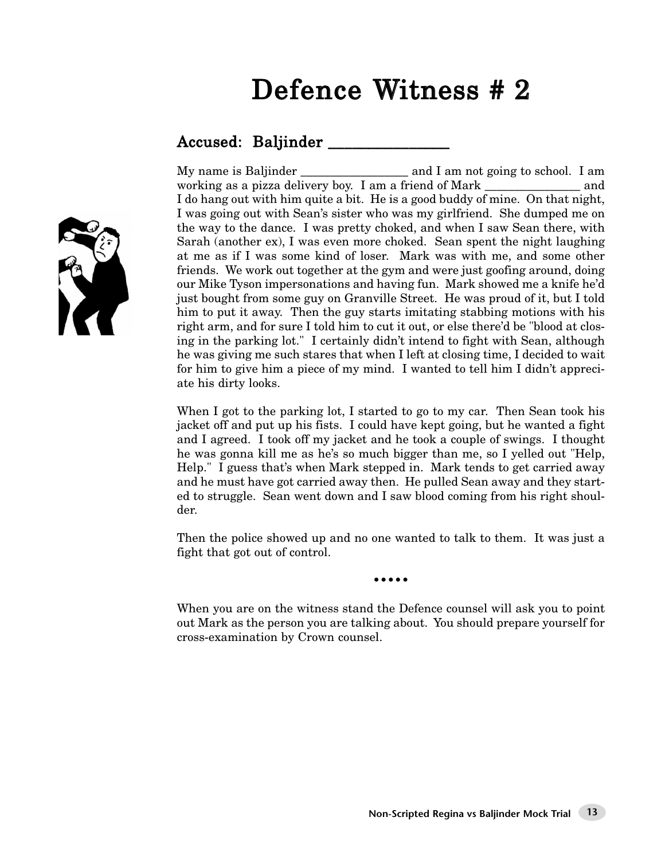### Defence Witness # 2

#### Accused: Baljinder \_\_\_\_\_\_\_\_\_\_

My name is Baljinder \_\_\_\_\_\_\_\_\_\_\_\_\_\_\_\_\_\_\_\_\_\_ and I am not going to school. I am working as a pizza delivery boy. I am a friend of Mark \_\_\_\_\_\_\_\_\_\_\_\_\_\_\_\_ and I do hang out with him quite a bit. He is a good buddy of mine. On that night, I was going out with Sean's sister who was my girlfriend. She dumped me on the way to the dance. I was pretty choked, and when I saw Sean there, with Sarah (another ex), I was even more choked. Sean spent the night laughing at me as if I was some kind of loser. Mark was with me, and some other friends. We work out together at the gym and were just goofing around, doing our Mike Tyson impersonations and having fun. Mark showed me a knife he'd just bought from some guy on Granville Street. He was proud of it, but I told him to put it away. Then the guy starts imitating stabbing motions with his right arm, and for sure I told him to cut it out, or else there'd be "blood at closing in the parking lot." I certainly didn't intend to fight with Sean, although he was giving me such stares that when I left at closing time, I decided to wait for him to give him a piece of my mind. I wanted to tell him I didn't appreciate his dirty looks.

When I got to the parking lot, I started to go to my car. Then Sean took his jacket off and put up his fists. I could have kept going, but he wanted a fight and I agreed. I took off my jacket and he took a couple of swings. I thought he was gonna kill me as he's so much bigger than me, so I yelled out "Help, Help." I guess that's when Mark stepped in. Mark tends to get carried away and he must have got carried away then. He pulled Sean away and they started to struggle. Sean went down and I saw blood coming from his right shoulder.

Then the police showed up and no one wanted to talk to them. It was just a fight that got out of control.

•••••

When you are on the witness stand the Defence counsel will ask you to point out Mark as the person you are talking about. You should prepare yourself for cross-examination by Crown counsel.

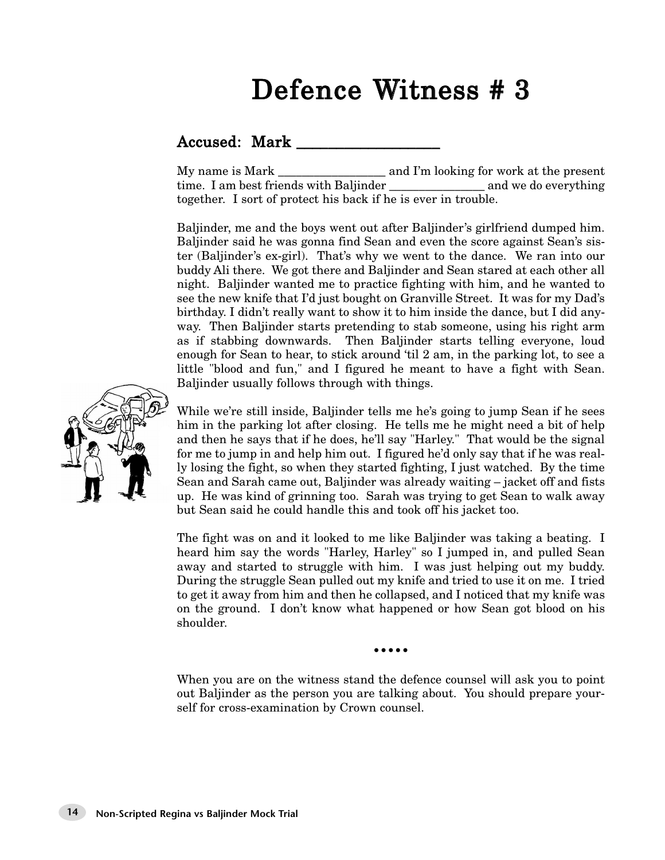### Defence Witness # 3

### Accused: Mark \_\_\_\_\_\_\_\_\_\_\_\_\_\_\_\_\_\_

My name is Mark and I'm looking for work at the present time. I am best friends with Baljinder \_\_\_\_\_\_\_\_\_\_\_\_\_\_\_\_ and we do everything together. I sort of protect his back if he is ever in trouble.

Baljinder, me and the boys went out after Baljinder's girlfriend dumped him. Baljinder said he was gonna find Sean and even the score against Sean's sister (Baljinder's ex-girl). That's why we went to the dance. We ran into our buddy Ali there. We got there and Baljinder and Sean stared at each other all night. Baljinder wanted me to practice fighting with him, and he wanted to see the new knife that I'd just bought on Granville Street. It was for my Dad's birthday. I didn't really want to show it to him inside the dance, but I did anyway. Then Baljinder starts pretending to stab someone, using his right arm as if stabbing downwards. Then Baljinder starts telling everyone, loud enough for Sean to hear, to stick around 'til 2 am, in the parking lot, to see a little "blood and fun," and I figured he meant to have a fight with Sean. Baljinder usually follows through with things.



While we're still inside, Baljinder tells me he's going to jump Sean if he sees him in the parking lot after closing. He tells me he might need a bit of help and then he says that if he does, he'll say "Harley." That would be the signal for me to jump in and help him out. I figured he'd only say that if he was really losing the fight, so when they started fighting, I just watched. By the time Sean and Sarah came out, Baljinder was already waiting – jacket off and fists up. He was kind of grinning too. Sarah was trying to get Sean to walk away but Sean said he could handle this and took off his jacket too.

The fight was on and it looked to me like Baljinder was taking a beating. I heard him say the words "Harley, Harley" so I jumped in, and pulled Sean away and started to struggle with him. I was just helping out my buddy. During the struggle Sean pulled out my knife and tried to use it on me. I tried to get it away from him and then he collapsed, and I noticed that my knife was on the ground. I don't know what happened or how Sean got blood on his shoulder.

•••••

When you are on the witness stand the defence counsel will ask you to point out Baljinder as the person you are talking about. You should prepare yourself for cross-examination by Crown counsel.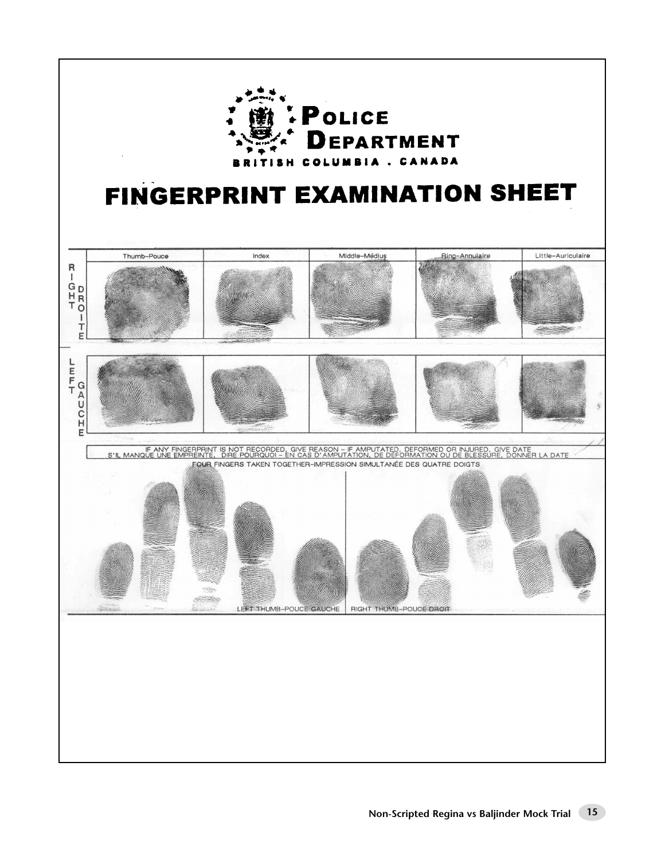